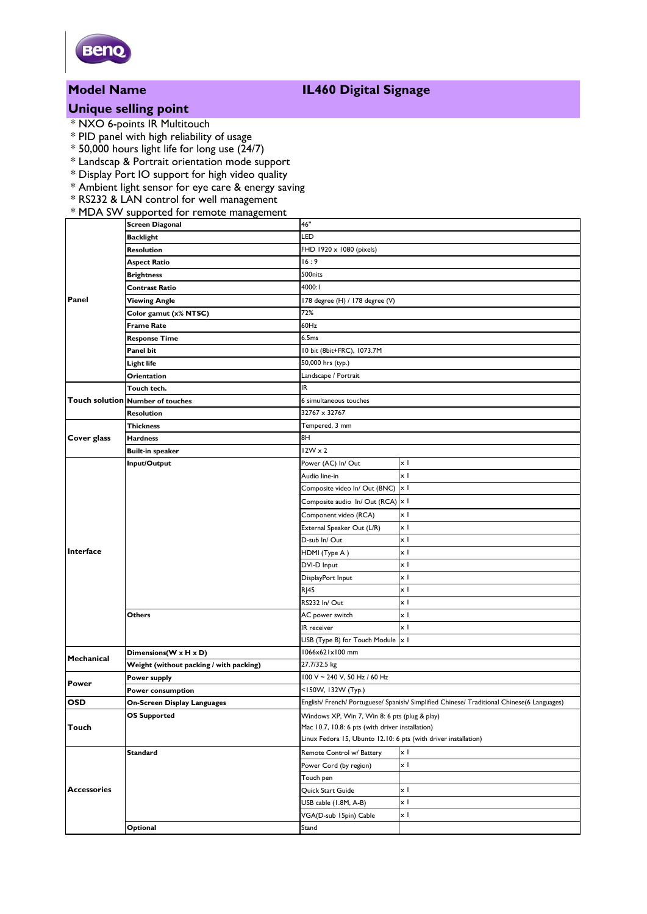

# **Unique selling point**

- \* NXO 6-points IR Multitouch
- \* PID panel with high reliability of usage
- $*$  50,000 hours light life for long use (24/7)
- \* Landscap & Portrait orientation mode support
- \* Display Port IO support for high video quality
- \* Ambient light sensor for eye care & energy saving
- \* RS232 & LAN control for well management

### \* MDA SW supported for remote management

| Panel                          | <b>Screen Diagonal</b>                  | 46"                                                                                               |            |  |
|--------------------------------|-----------------------------------------|---------------------------------------------------------------------------------------------------|------------|--|
|                                | <b>Backlight</b>                        | LED                                                                                               |            |  |
|                                | <b>Resolution</b>                       | FHD 1920 x 1080 (pixels)                                                                          |            |  |
|                                | <b>Aspect Ratio</b>                     | 16:9                                                                                              |            |  |
|                                | <b>Brightness</b>                       | 500nits                                                                                           |            |  |
|                                | Contrast Ratio                          | 4000:1                                                                                            |            |  |
|                                | <b>Viewing Angle</b>                    | 178 degree (H) / 178 degree (V)                                                                   |            |  |
|                                | Color gamut (x% NTSC)                   | 72%                                                                                               |            |  |
|                                | <b>Frame Rate</b>                       | 60Hz                                                                                              |            |  |
|                                | <b>Response Time</b>                    | 6.5ms                                                                                             |            |  |
|                                | Panel bit                               | 10 bit (8bit+FRC), 1073.7M                                                                        |            |  |
|                                | Light life                              | 50,000 hrs (typ.)                                                                                 |            |  |
|                                | Orientation                             | Landscape / Portrait                                                                              |            |  |
|                                | Touch tech.                             | IR                                                                                                |            |  |
|                                | <b>Touch solution Number of touches</b> | 6 simultaneous touches                                                                            |            |  |
|                                | <b>Resolution</b>                       | 32767 x 32767                                                                                     |            |  |
| Cover glass                    | <b>Thickness</b>                        | Tempered, 3 mm                                                                                    |            |  |
|                                | <b>Hardness</b>                         | 8H                                                                                                |            |  |
|                                | <b>Built-in speaker</b>                 | $12W \times 2$                                                                                    |            |  |
| Interface<br><b>Mechanical</b> | Input/Output                            | Power (AC) In/ Out                                                                                | χI         |  |
|                                |                                         | Audio line-in                                                                                     | xΙ         |  |
|                                |                                         | Composite video In/ Out (BNC)                                                                     | x I        |  |
|                                |                                         | Composite audio In/Out (RCA)                                                                      | x I        |  |
|                                |                                         | Component video (RCA)                                                                             | x I        |  |
|                                |                                         | External Speaker Out (L/R)                                                                        | x I        |  |
|                                |                                         | D-sub In/ Out                                                                                     | xΙ         |  |
|                                |                                         | HDMI (Type A)                                                                                     | x I        |  |
|                                |                                         | DVI-D Input                                                                                       | x I        |  |
|                                |                                         | DisplayPort Input                                                                                 | xΙ         |  |
|                                |                                         | <b>RJ45</b>                                                                                       | x I        |  |
|                                |                                         | RS232 In/Out                                                                                      | xΙ         |  |
|                                | Others                                  | AC power switch                                                                                   | χI         |  |
|                                |                                         | IR receiver                                                                                       | x I        |  |
|                                |                                         | USB (Type B) for Touch Module  x                                                                  |            |  |
|                                | Dimensions(W x H x D)                   | 1066x621x100 mm                                                                                   |            |  |
|                                | Weight (without packing / with packing) | 27.7/32.5 kg                                                                                      |            |  |
| Power                          | Power supply                            | 100 V ~ 240 V, 50 Hz / 60 Hz                                                                      |            |  |
|                                | Power consumption                       | <150W, 132W (Typ.)                                                                                |            |  |
| <b>OSD</b>                     | <b>On-Screen Display Languages</b>      | English/ French/ Portuguese/ Spanish/ Simplified Chinese/ Traditional Chinese(6 Languages)        |            |  |
| Touch                          | <b>OS Supported</b>                     | Windows XP, Win 7, Win 8: 6 pts (plug & play)<br>Mac 10.7, 10.8: 6 pts (with driver installation) |            |  |
|                                |                                         |                                                                                                   |            |  |
|                                |                                         | Linux Fedora 15, Ubunto 12.10: 6 pts (with driver installation)                                   |            |  |
| <b>Accessories</b>             | <b>Standard</b>                         | Remote Control w/ Battery                                                                         | x I        |  |
|                                |                                         | Power Cord (by region)                                                                            | x I        |  |
|                                |                                         | Touch pen                                                                                         |            |  |
|                                |                                         | Quick Start Guide                                                                                 | xΙ         |  |
|                                |                                         | USB cable (1.8M, A-B)                                                                             | $\times$ 1 |  |
|                                |                                         | VGA(D-sub 15pin) Cable                                                                            | x I        |  |
|                                | Optional                                | Stand                                                                                             |            |  |

## **Model Name IL460 Digital Signage**